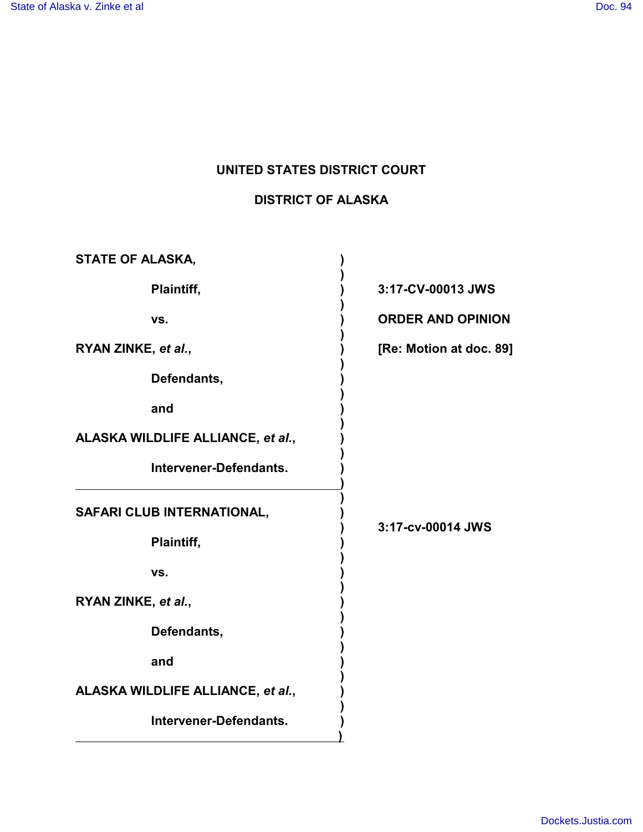# **UNITED STATES DISTRICT COURT**

## **DISTRICT OF ALASKA**

| 3:17-CV-00013 JWS        |
|--------------------------|
| <b>ORDER AND OPINION</b> |
| [Re: Motion at doc. 89]  |
|                          |
|                          |
|                          |
|                          |
| 3:17-cv-00014 JWS        |
|                          |
|                          |
|                          |
|                          |
|                          |
|                          |
|                          |
|                          |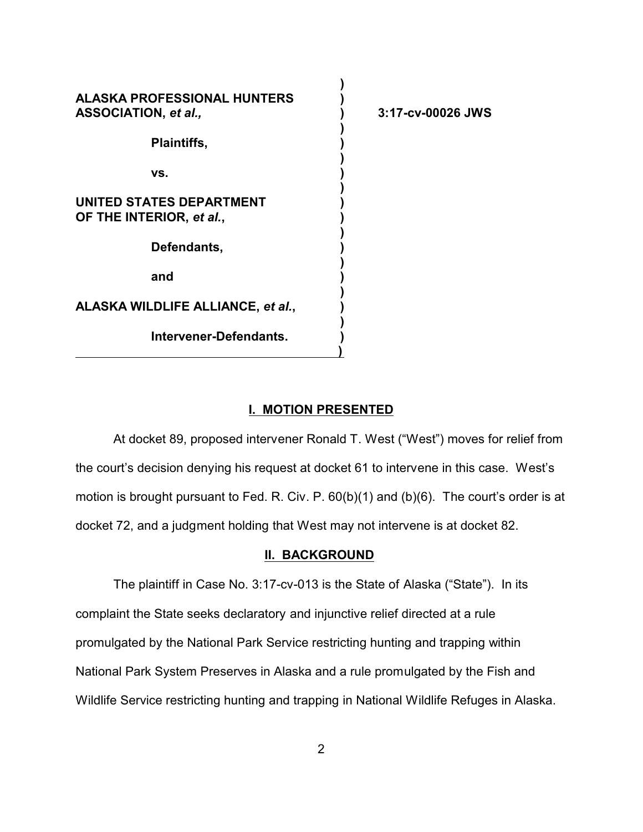| <b>ALASKA PROFESSIONAL HUNTERS</b><br>ASSOCIATION, et al., | 3:17-cv-00026 JWS |
|------------------------------------------------------------|-------------------|
| <b>Plaintiffs,</b>                                         |                   |
| VS.                                                        |                   |
| UNITED STATES DEPARTMENT<br>OF THE INTERIOR, et al.,       |                   |
| Defendants,                                                |                   |
| and                                                        |                   |
| ALASKA WILDLIFE ALLIANCE, et al.,                          |                   |
| <b>Intervener-Defendants.</b>                              |                   |

#### **I. MOTION PRESENTED**

At docket 89, proposed intervener Ronald T. West ("West") moves for relief from the court's decision denying his request at docket 61 to intervene in this case. West's motion is brought pursuant to Fed. R. Civ. P. 60(b)(1) and (b)(6). The court's order is at docket 72, and a judgment holding that West may not intervene is at docket 82.

### **II. BACKGROUND**

The plaintiff in Case No. 3:17-cv-013 is the State of Alaska ("State"). In its complaint the State seeks declaratory and injunctive relief directed at a rule promulgated by the National Park Service restricting hunting and trapping within National Park System Preserves in Alaska and a rule promulgated by the Fish and Wildlife Service restricting hunting and trapping in National Wildlife Refuges in Alaska.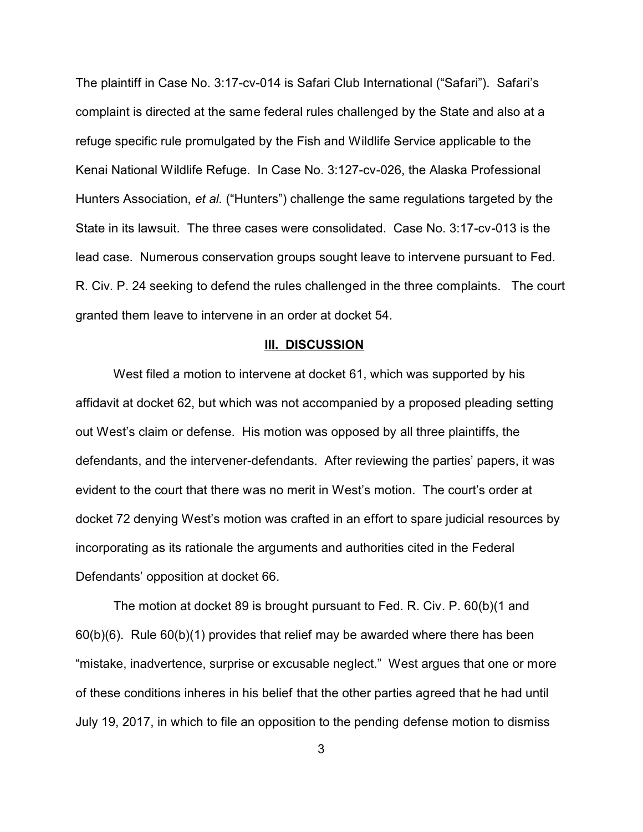The plaintiff in Case No. 3:17-cv-014 is Safari Club International ("Safari"). Safari's complaint is directed at the same federal rules challenged by the State and also at a refuge specific rule promulgated by the Fish and Wildlife Service applicable to the Kenai National Wildlife Refuge. In Case No. 3:127-cv-026, the Alaska Professional Hunters Association, *et al.* ("Hunters") challenge the same regulations targeted by the State in its lawsuit. The three cases were consolidated. Case No. 3:17-cv-013 is the lead case. Numerous conservation groups sought leave to intervene pursuant to Fed. R. Civ. P. 24 seeking to defend the rules challenged in the three complaints. The court granted them leave to intervene in an order at docket 54.

#### **III. DISCUSSION**

West filed a motion to intervene at docket 61, which was supported by his affidavit at docket 62, but which was not accompanied by a proposed pleading setting out West's claim or defense. His motion was opposed by all three plaintiffs, the defendants, and the intervener-defendants. After reviewing the parties' papers, it was evident to the court that there was no merit in West's motion. The court's order at docket 72 denying West's motion was crafted in an effort to spare judicial resources by incorporating as its rationale the arguments and authorities cited in the Federal Defendants' opposition at docket 66.

The motion at docket 89 is brought pursuant to Fed. R. Civ. P. 60(b)(1 and 60(b)(6). Rule 60(b)(1) provides that relief may be awarded where there has been "mistake, inadvertence, surprise or excusable neglect." West argues that one or more of these conditions inheres in his belief that the other parties agreed that he had until July 19, 2017, in which to file an opposition to the pending defense motion to dismiss

3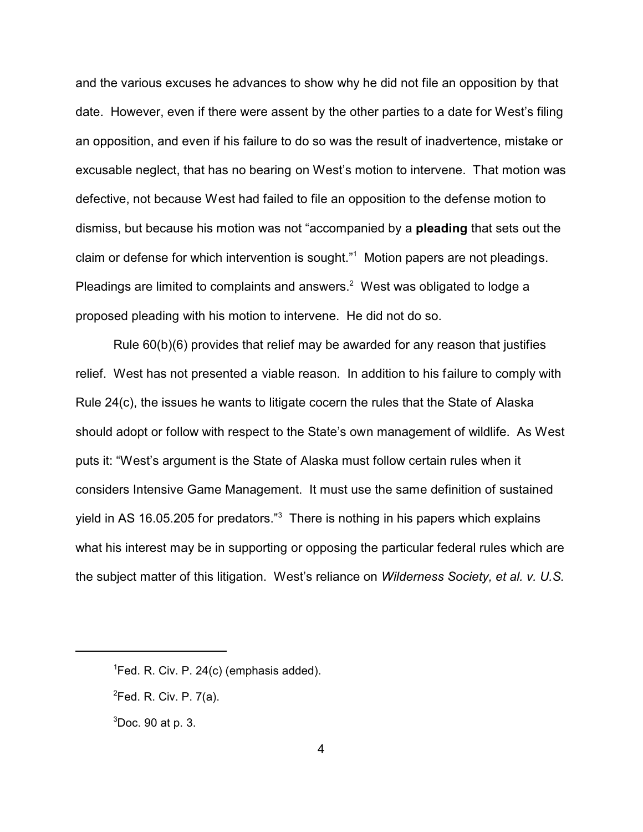and the various excuses he advances to show why he did not file an opposition by that date. However, even if there were assent by the other parties to a date for West's filing an opposition, and even if his failure to do so was the result of inadvertence, mistake or excusable neglect, that has no bearing on West's motion to intervene. That motion was defective, not because West had failed to file an opposition to the defense motion to dismiss, but because his motion was not "accompanied by a **pleading** that sets out the claim or defense for which intervention is sought."<sup>1</sup> Motion papers are not pleadings. Pleadings are limited to complaints and answers. $^2$  West was obligated to lodge a proposed pleading with his motion to intervene. He did not do so.

Rule 60(b)(6) provides that relief may be awarded for any reason that justifies relief. West has not presented a viable reason. In addition to his failure to comply with Rule 24(c), the issues he wants to litigate cocern the rules that the State of Alaska should adopt or follow with respect to the State's own management of wildlife. As West puts it: "West's argument is the State of Alaska must follow certain rules when it considers Intensive Game Management. It must use the same definition of sustained yield in AS 16.05.205 for predators."<sup>3</sup> There is nothing in his papers which explains what his interest may be in supporting or opposing the particular federal rules which are the subject matter of this litigation. West's reliance on *Wilderness Society, et al. v. U.S.*

 ${}^{1}$ Fed. R. Civ. P. 24(c) (emphasis added).

 ${}^{2}$ Fed. R. Civ. P. 7(a).

 $3$ Doc. 90 at p. 3.